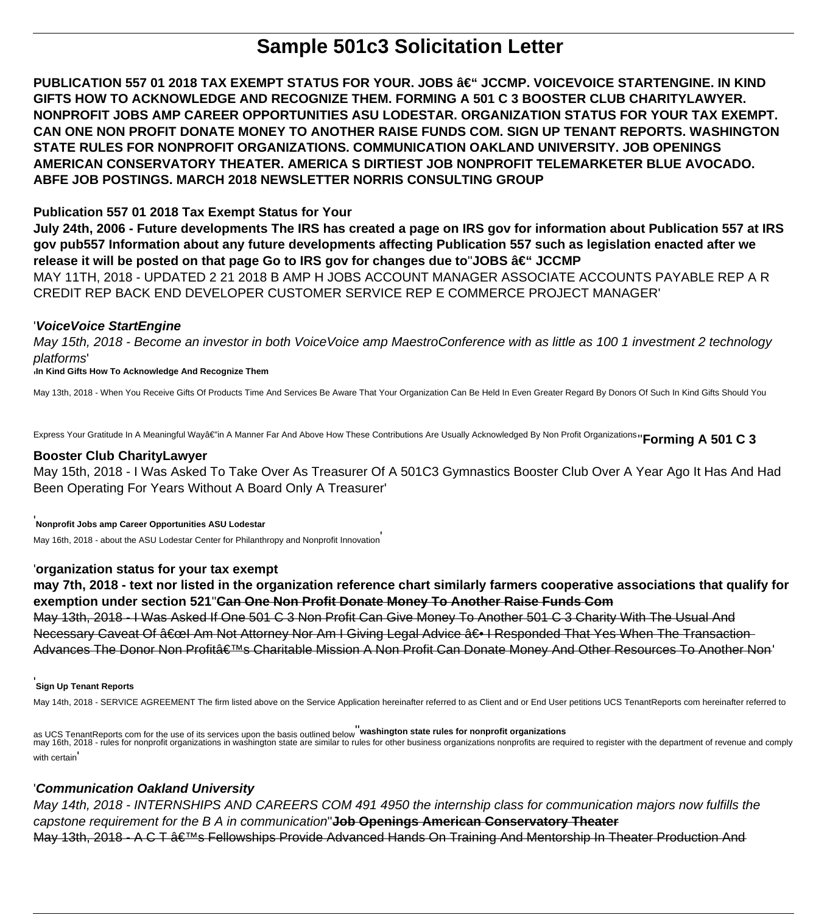# **Sample 501c3 Solicitation Letter**

PUBLICATION 557 01 2018 TAX EXEMPT STATUS FOR YOUR. JOBS – JCCMP. VOICEVOICE STARTENGINE. IN KIND **GIFTS HOW TO ACKNOWLEDGE AND RECOGNIZE THEM. FORMING A 501 C 3 BOOSTER CLUB CHARITYLAWYER. NONPROFIT JOBS AMP CAREER OPPORTUNITIES ASU LODESTAR. ORGANIZATION STATUS FOR YOUR TAX EXEMPT. CAN ONE NON PROFIT DONATE MONEY TO ANOTHER RAISE FUNDS COM. SIGN UP TENANT REPORTS. WASHINGTON STATE RULES FOR NONPROFIT ORGANIZATIONS. COMMUNICATION OAKLAND UNIVERSITY. JOB OPENINGS AMERICAN CONSERVATORY THEATER. AMERICA S DIRTIEST JOB NONPROFIT TELEMARKETER BLUE AVOCADO. ABFE JOB POSTINGS. MARCH 2018 NEWSLETTER NORRIS CONSULTING GROUP**

# **Publication 557 01 2018 Tax Exempt Status for Your**

**July 24th, 2006 - Future developments The IRS has created a page on IRS gov for information about Publication 557 at IRS gov pub557 Information about any future developments affecting Publication 557 such as legislation enacted after we release it will be posted on that page Go to IRS gov for changes due to JOBS †JCCMP** 

MAY 11TH, 2018 - UPDATED 2 21 2018 B AMP H JOBS ACCOUNT MANAGER ASSOCIATE ACCOUNTS PAYABLE REP A R CREDIT REP BACK END DEVELOPER CUSTOMER SERVICE REP E COMMERCE PROJECT MANAGER'

## '**VoiceVoice StartEngine**

May 15th, 2018 - Become an investor in both VoiceVoice amp MaestroConference with as little as 100 1 investment 2 technology platforms'

'**In Kind Gifts How To Acknowledge And Recognize Them**

May 13th, 2018 - When You Receive Gifts Of Products Time And Services Be Aware That Your Organization Can Be Held In Even Greater Regard By Donors Of Such In Kind Gifts Should You

Express Your Gratitude In A Meaningful Wayâ€"in A Manner Far And Above How These Contributions Are Usually Acknowledged By Non Profit Organizations<sup>1</sup>' Forming A 501 C 3

#### **Booster Club CharityLawyer**

May 15th, 2018 - I Was Asked To Take Over As Treasurer Of A 501C3 Gymnastics Booster Club Over A Year Ago It Has And Had Been Operating For Years Without A Board Only A Treasurer'

**Nonprofit Jobs amp Career Opportunities ASU Lodestar**

May 16th, 2018 - about the ASU Lodestar Center for Philanthropy and Nonprofit Innovation'

## '**organization status for your tax exempt**

**may 7th, 2018 - text nor listed in the organization reference chart similarly farmers cooperative associations that qualify for exemption under section 521**''**Can One Non Profit Donate Money To Another Raise Funds Com**

May 13th, 2018 - I Was Asked If One 501 C 3 Non Profit Can Give Money To Another 501 C 3 Charity With The Usual And Necessary Caveat Of  $"I$  Am Not Attorney Nor Am I Giving Legal Advice  $―$  I Responded That Yes When The Transaction Advances The Donor Non Profitâ€<sup>™</sup>s Charitable Mission A Non Profit Can Donate Money And Other Resources To Another Non'

#### '**Sign Up Tenant Reports**

May 14th, 2018 - SERVICE AGREEMENT The firm listed above on the Service Application hereinafter referred to as Client and or End User petitions UCS TenantReports com hereinafter referred to

as UCS TenantReports com for the use of its services upon the basis outlined below''**washington state rules for nonprofit organizations** may 16th, 2018 - rules for nonprofit organizations in washington state are similar to rules for other business organizations nonprofits are required to register with the department of revenue and comply with certain

## '**Communication Oakland University**

May 14th, 2018 - INTERNSHIPS AND CAREERS COM 491 4950 the internship class for communication majors now fulfills the capstone requirement for the B A in communication''**Job Openings American Conservatory Theater** May 13th, 2018 - A C T  $\hat{a} \in \mathbb{N}$ s Fellowships Provide Advanced Hands On Training And Mentorship In Theater Production And